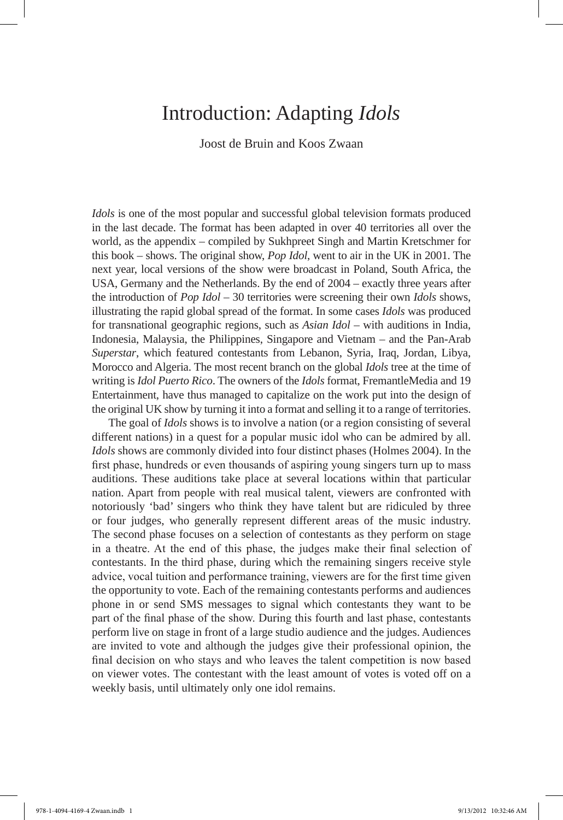# Introduction: Adapting *Idols*

Joost de Bruin and Koos Zwaan

*Idols* is one of the most popular and successful global television formats produced in the last decade. The format has been adapted in over 40 territories all over the world, as the appendix – compiled by Sukhpreet Singh and Martin Kretschmer for this book – shows. The original show, *Pop Idol*, went to air in the UK in 2001. The next year, local versions of the show were broadcast in Poland, South Africa, the USA, Germany and the Netherlands. By the end of 2004 – exactly three years after the introduction of *Pop Idol* – 30 territories were screening their own *Idols* shows, illustrating the rapid global spread of the format. In some cases *Idols* was produced for transnational geographic regions, such as *Asian Idol* – with auditions in India, Indonesia, Malaysia, the Philippines, Singapore and Vietnam – and the Pan-Arab *Superstar*, which featured contestants from Lebanon, Syria, Iraq, Jordan, Libya, Morocco and Algeria. The most recent branch on the global *Idols* tree at the time of writing is *Idol Puerto Rico*. The owners of the *Idols* format, FremantleMedia and 19 Entertainment, have thus managed to capitalize on the work put into the design of the original UK show by turning it into a format and selling it to a range of territories.

The goal of *Idols* shows is to involve a nation (or a region consisting of several different nations) in a quest for a popular music idol who can be admired by all. *Idols* shows are commonly divided into four distinct phases (Holmes 2004). In the first phase, hundreds or even thousands of aspiring young singers turn up to mass auditions. These auditions take place at several locations within that particular nation. Apart from people with real musical talent, viewers are confronted with notoriously 'bad' singers who think they have talent but are ridiculed by three or four judges, who generally represent different areas of the music industry. The second phase focuses on a selection of contestants as they perform on stage in a theatre. At the end of this phase, the judges make their final selection of contestants. In the third phase, during which the remaining singers receive style advice, vocal tuition and performance training, viewers are for the first time given the opportunity to vote. Each of the remaining contestants performs and audiences phone in or send SMS messages to signal which contestants they want to be part of the final phase of the show. During this fourth and last phase, contestants perform live on stage in front of a large studio audience and the judges. Audiences are invited to vote and although the judges give their professional opinion, the final decision on who stays and who leaves the talent competition is now based on viewer votes. The contestant with the least amount of votes is voted off on a weekly basis, until ultimately only one idol remains.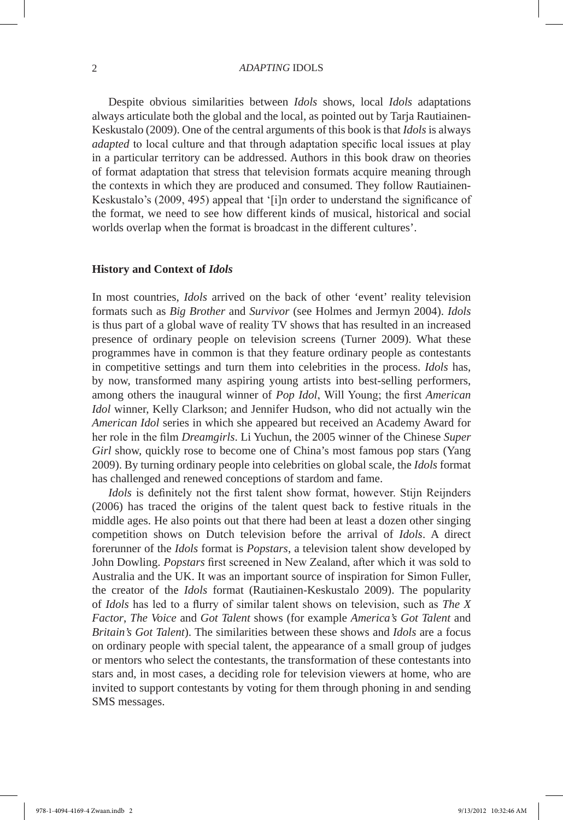#### 2 *ADAPTING* IDOLS

Despite obvious similarities between *Idols* shows, local *Idols* adaptations always articulate both the global and the local, as pointed out by Tarja Rautiainen-Keskustalo (2009). One of the central arguments of this book is that *Idols* is always *adapted* to local culture and that through adaptation specific local issues at play in a particular territory can be addressed. Authors in this book draw on theories of format adaptation that stress that television formats acquire meaning through the contexts in which they are produced and consumed. They follow Rautiainen-Keskustalo's (2009, 495) appeal that '[i]n order to understand the significance of the format, we need to see how different kinds of musical, historical and social worlds overlap when the format is broadcast in the different cultures'.

#### **History and Context of** *Idols*

In most countries, *Idols* arrived on the back of other 'event' reality television formats such as *Big Brother* and *Survivor* (see Holmes and Jermyn 2004). *Idols* is thus part of a global wave of reality TV shows that has resulted in an increased presence of ordinary people on television screens (Turner 2009). What these programmes have in common is that they feature ordinary people as contestants in competitive settings and turn them into celebrities in the process. *Idols* has, by now, transformed many aspiring young artists into best-selling performers, among others the inaugural winner of *Pop Idol*, Will Young; the first *American Idol* winner, Kelly Clarkson; and Jennifer Hudson, who did not actually win the *American Idol* series in which she appeared but received an Academy Award for her role in the film *Dreamgirls*. Li Yuchun, the 2005 winner of the Chinese *Super Girl* show, quickly rose to become one of China's most famous pop stars (Yang 2009). By turning ordinary people into celebrities on global scale, the *Idols* format has challenged and renewed conceptions of stardom and fame.

*Idols* is definitely not the first talent show format, however. Stijn Reijnders (2006) has traced the origins of the talent quest back to festive rituals in the middle ages. He also points out that there had been at least a dozen other singing competition shows on Dutch television before the arrival of *Idols*. A direct forerunner of the *Idols* format is *Popstars*, a television talent show developed by John Dowling. *Popstars* first screened in New Zealand, after which it was sold to Australia and the UK. It was an important source of inspiration for Simon Fuller, the creator of the *Idols* format (Rautiainen-Keskustalo 2009). The popularity of *Idols* has led to a flurry of similar talent shows on television, such as *The X Factor*, *The Voice* and *Got Talent* shows (for example *America's Got Talent* and *Britain's Got Talent*). The similarities between these shows and *Idols* are a focus on ordinary people with special talent, the appearance of a small group of judges or mentors who select the contestants, the transformation of these contestants into stars and, in most cases, a deciding role for television viewers at home, who are invited to support contestants by voting for them through phoning in and sending SMS messages.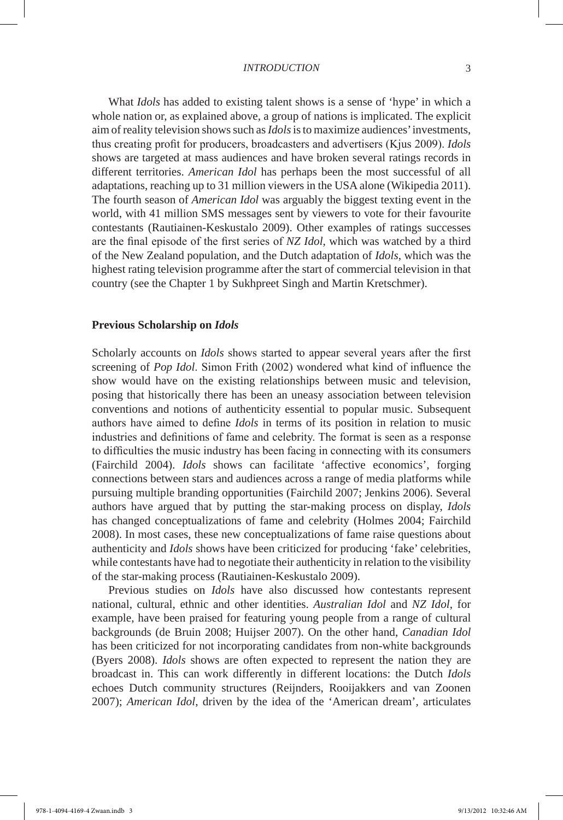What *Idols* has added to existing talent shows is a sense of 'hype' in which a whole nation or, as explained above, a group of nations is implicated. The explicit aim of reality television shows such as *Idols* is to maximize audiences' investments, thus creating profit for producers, broadcasters and advertisers (Kjus 2009). *Idols* shows are targeted at mass audiences and have broken several ratings records in different territories. *American Idol* has perhaps been the most successful of all adaptations, reaching up to 31 million viewers in the USA alone (Wikipedia 2011). The fourth season of *American Idol* was arguably the biggest texting event in the world, with 41 million SMS messages sent by viewers to vote for their favourite contestants (Rautiainen-Keskustalo 2009). Other examples of ratings successes are the final episode of the first series of *NZ Idol*, which was watched by a third of the New Zealand population, and the Dutch adaptation of *Idols*, which was the highest rating television programme after the start of commercial television in that country (see the Chapter 1 by Sukhpreet Singh and Martin Kretschmer).

# **Previous Scholarship on** *Idols*

Scholarly accounts on *Idols* shows started to appear several years after the first screening of *Pop Idol*. Simon Frith (2002) wondered what kind of influence the show would have on the existing relationships between music and television, posing that historically there has been an uneasy association between television conventions and notions of authenticity essential to popular music. Subsequent authors have aimed to define *Idols* in terms of its position in relation to music industries and definitions of fame and celebrity. The format is seen as a response to difficulties the music industry has been facing in connecting with its consumers (Fairchild 2004). *Idols* shows can facilitate 'affective economics', forging connections between stars and audiences across a range of media platforms while pursuing multiple branding opportunities (Fairchild 2007; Jenkins 2006). Several authors have argued that by putting the star-making process on display, *Idols* has changed conceptualizations of fame and celebrity (Holmes 2004; Fairchild 2008). In most cases, these new conceptualizations of fame raise questions about authenticity and *Idols* shows have been criticized for producing 'fake' celebrities, while contestants have had to negotiate their authenticity in relation to the visibility of the star-making process (Rautiainen-Keskustalo 2009).

Previous studies on *Idols* have also discussed how contestants represent national, cultural, ethnic and other identities. *Australian Idol* and *NZ Idol*, for example, have been praised for featuring young people from a range of cultural backgrounds (de Bruin 2008; Huijser 2007). On the other hand, *Canadian Idol* has been criticized for not incorporating candidates from non-white backgrounds (Byers 2008). *Idols* shows are often expected to represent the nation they are broadcast in. This can work differently in different locations: the Dutch *Idols* echoes Dutch community structures (Reijnders, Rooijakkers and van Zoonen 2007); *American Idol*, driven by the idea of the 'American dream', articulates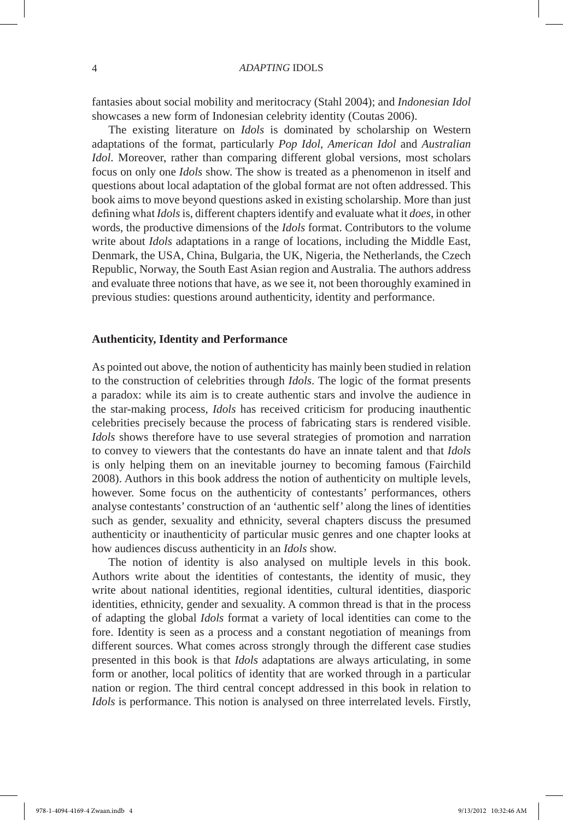fantasies about social mobility and meritocracy (Stahl 2004); and *Indonesian Idol* showcases a new form of Indonesian celebrity identity (Coutas 2006).

The existing literature on *Idols* is dominated by scholarship on Western adaptations of the format, particularly *Pop Idol*, *American Idol* and *Australian Idol*. Moreover, rather than comparing different global versions, most scholars focus on only one *Idols* show. The show is treated as a phenomenon in itself and questions about local adaptation of the global format are not often addressed. This book aims to move beyond questions asked in existing scholarship. More than just defining what *Idols* is, different chapters identify and evaluate what it *does*, in other words, the productive dimensions of the *Idols* format. Contributors to the volume write about *Idols* adaptations in a range of locations, including the Middle East, Denmark, the USA, China, Bulgaria, the UK, Nigeria, the Netherlands, the Czech Republic, Norway, the South East Asian region and Australia. The authors address and evaluate three notions that have, as we see it, not been thoroughly examined in previous studies: questions around authenticity, identity and performance.

# **Authenticity, Identity and Performance**

As pointed out above, the notion of authenticity has mainly been studied in relation to the construction of celebrities through *Idols*. The logic of the format presents a paradox: while its aim is to create authentic stars and involve the audience in the star-making process, *Idols* has received criticism for producing inauthentic celebrities precisely because the process of fabricating stars is rendered visible. *Idols* shows therefore have to use several strategies of promotion and narration to convey to viewers that the contestants do have an innate talent and that *Idols* is only helping them on an inevitable journey to becoming famous (Fairchild 2008). Authors in this book address the notion of authenticity on multiple levels, however. Some focus on the authenticity of contestants' performances, others analyse contestants' construction of an 'authentic self' along the lines of identities such as gender, sexuality and ethnicity, several chapters discuss the presumed authenticity or inauthenticity of particular music genres and one chapter looks at how audiences discuss authenticity in an *Idols* show.

The notion of identity is also analysed on multiple levels in this book. Authors write about the identities of contestants, the identity of music, they write about national identities, regional identities, cultural identities, diasporic identities, ethnicity, gender and sexuality. A common thread is that in the process of adapting the global *Idols* format a variety of local identities can come to the fore. Identity is seen as a process and a constant negotiation of meanings from different sources. What comes across strongly through the different case studies presented in this book is that *Idols* adaptations are always articulating, in some form or another, local politics of identity that are worked through in a particular nation or region. The third central concept addressed in this book in relation to *Idols* is performance. This notion is analysed on three interrelated levels. Firstly,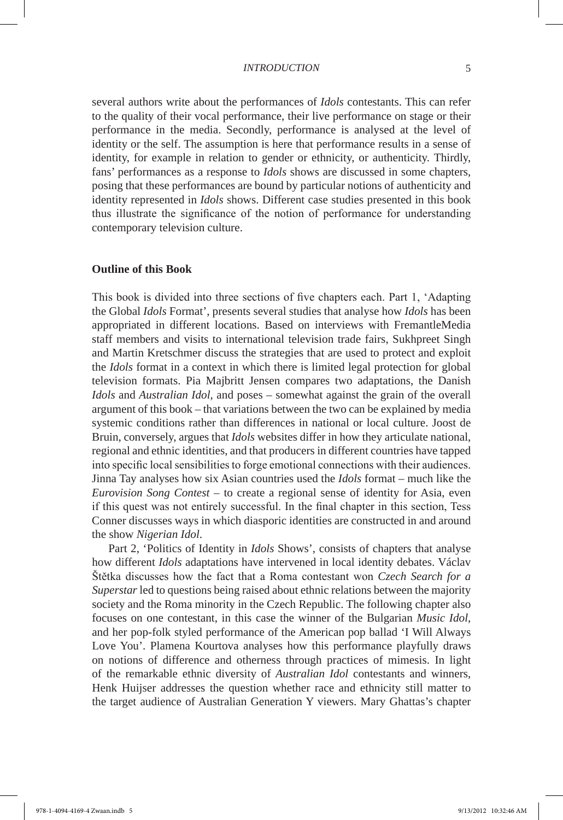several authors write about the performances of *Idols* contestants. This can refer to the quality of their vocal performance, their live performance on stage or their performance in the media. Secondly, performance is analysed at the level of identity or the self. The assumption is here that performance results in a sense of identity, for example in relation to gender or ethnicity, or authenticity. Thirdly, fans' performances as a response to *Idols* shows are discussed in some chapters, posing that these performances are bound by particular notions of authenticity and identity represented in *Idols* shows. Different case studies presented in this book thus illustrate the significance of the notion of performance for understanding contemporary television culture.

### **Outline of this Book**

This book is divided into three sections of five chapters each. Part 1, 'Adapting the Global *Idols* Format', presents several studies that analyse how *Idols* has been appropriated in different locations. Based on interviews with FremantleMedia staff members and visits to international television trade fairs, Sukhpreet Singh and Martin Kretschmer discuss the strategies that are used to protect and exploit the *Idols* format in a context in which there is limited legal protection for global television formats. Pia Majbritt Jensen compares two adaptations, the Danish *Idols* and *Australian Idol*, and poses – somewhat against the grain of the overall argument of this book – that variations between the two can be explained by media systemic conditions rather than differences in national or local culture. Joost de Bruin, conversely, argues that *Idols* websites differ in how they articulate national, regional and ethnic identities, and that producers in different countries have tapped into specific local sensibilities to forge emotional connections with their audiences. Jinna Tay analyses how six Asian countries used the *Idols* format – much like the *Eurovision Song Contest* – to create a regional sense of identity for Asia, even if this quest was not entirely successful. In the final chapter in this section, Tess Conner discusses ways in which diasporic identities are constructed in and around the show *Nigerian Idol*.

Part 2, 'Politics of Identity in *Idols* Shows', consists of chapters that analyse how different *Idols* adaptations have intervened in local identity debates. Václav Štětka discusses how the fact that a Roma contestant won *Czech Search for a Superstar* led to questions being raised about ethnic relations between the majority society and the Roma minority in the Czech Republic. The following chapter also focuses on one contestant, in this case the winner of the Bulgarian *Music Idol*, and her pop-folk styled performance of the American pop ballad 'I Will Always Love You'. Plamena Kourtova analyses how this performance playfully draws on notions of difference and otherness through practices of mimesis. In light of the remarkable ethnic diversity of *Australian Idol* contestants and winners, Henk Huijser addresses the question whether race and ethnicity still matter to the target audience of Australian Generation Y viewers. Mary Ghattas's chapter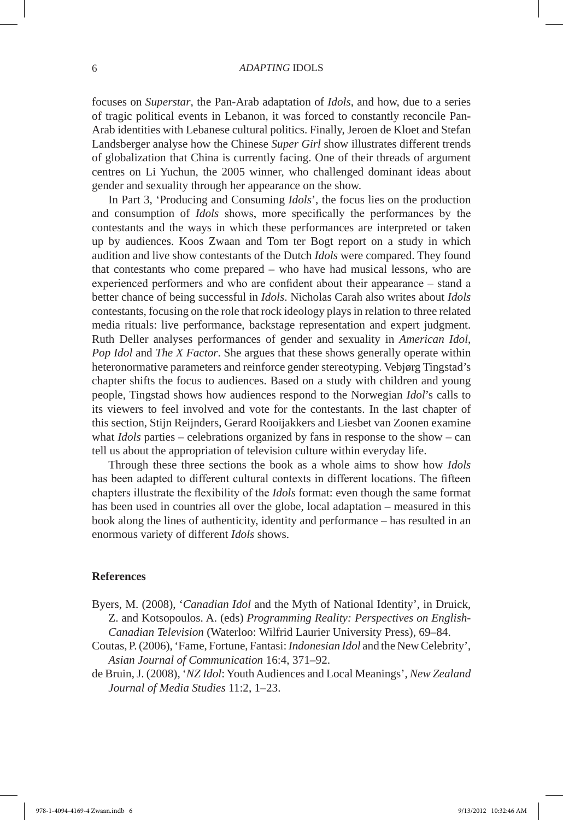focuses on *Superstar*, the Pan-Arab adaptation of *Idols*, and how, due to a series of tragic political events in Lebanon, it was forced to constantly reconcile Pan-Arab identities with Lebanese cultural politics. Finally, Jeroen de Kloet and Stefan Landsberger analyse how the Chinese *Super Girl* show illustrates different trends of globalization that China is currently facing. One of their threads of argument centres on Li Yuchun, the 2005 winner, who challenged dominant ideas about gender and sexuality through her appearance on the show.

In Part 3, 'Producing and Consuming *Idols*', the focus lies on the production and consumption of *Idols* shows, more specifically the performances by the contestants and the ways in which these performances are interpreted or taken up by audiences. Koos Zwaan and Tom ter Bogt report on a study in which audition and live show contestants of the Dutch *Idols* were compared. They found that contestants who come prepared – who have had musical lessons, who are experienced performers and who are confident about their appearance – stand a better chance of being successful in *Idols*. Nicholas Carah also writes about *Idols* contestants, focusing on the role that rock ideology plays in relation to three related media rituals: live performance, backstage representation and expert judgment. Ruth Deller analyses performances of gender and sexuality in *American Idol*, *Pop Idol* and *The X Factor*. She argues that these shows generally operate within heteronormative parameters and reinforce gender stereotyping. Vebjørg Tingstad's chapter shifts the focus to audiences. Based on a study with children and young people, Tingstad shows how audiences respond to the Norwegian *Idol*'s calls to its viewers to feel involved and vote for the contestants. In the last chapter of this section, Stijn Reijnders, Gerard Rooijakkers and Liesbet van Zoonen examine what *Idols* parties – celebrations organized by fans in response to the show – can tell us about the appropriation of television culture within everyday life.

Through these three sections the book as a whole aims to show how *Idols* has been adapted to different cultural contexts in different locations. The fifteen chapters illustrate the flexibility of the *Idols* format: even though the same format has been used in countries all over the globe, local adaptation – measured in this book along the lines of authenticity, identity and performance – has resulted in an enormous variety of different *Idols* shows.

#### **References**

- Byers, M. (2008), '*Canadian Idol* and the Myth of National Identity', in Druick, Z. and Kotsopoulos. A. (eds) *Programming Reality: Perspectives on English-Canadian Television* (Waterloo: Wilfrid Laurier University Press), 69–84.
- Coutas, P. (2006), 'Fame, Fortune, Fantasi: *Indonesian Idol* and the New Celebrity', *Asian Journal of Communication* 16:4, 371–92.
- de Bruin, J. (2008), '*NZ Idol*: Youth Audiences and Local Meanings', *New Zealand Journal of Media Studies* 11:2, 1–23.